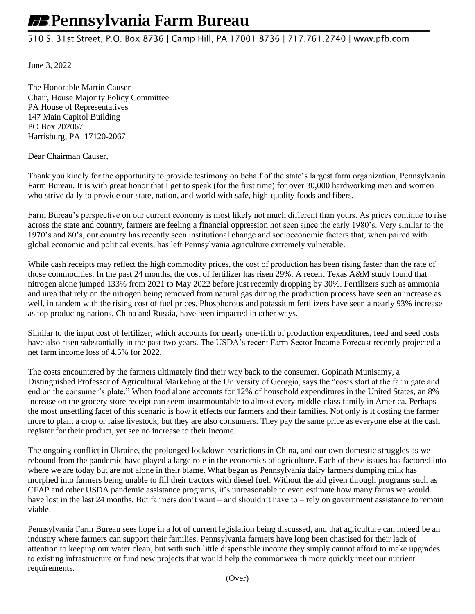## **EB** Pennsylvania Farm Bureau

## 510 S. 31st Street, P.O. Box 8736 | Camp Hill, PA 17001-8736 | 717.761.2740 | www.pfb.com

June 3, 2022

The Honorable Martin Causer Chair, House Majority Policy Committee PA House of Representatives 147 Main Capitol Building PO Box 202067 Harrisburg, PA 17120-2067

Dear Chairman Causer,

Thank you kindly for the opportunity to provide testimony on behalf of the state's largest farm organization, Pennsylvania Farm Bureau. It is with great honor that I get to speak (for the first time) for over 30,000 hardworking men and women who strive daily to provide our state, nation, and world with safe, high-quality foods and fibers.

Farm Bureau's perspective on our current economy is most likely not much different than yours. As prices continue to rise across the state and country, farmers are feeling a financial oppression not seen since the early 1980's. Very similar to the 1970's and 80's, our country has recently seen institutional change and socioeconomic factors that, when paired with global economic and political events, has left Pennsylvania agriculture extremely vulnerable.

While cash receipts may reflect the high commodity prices, the cost of production has been rising faster than the rate of those commodities. In the past 24 months, the cost of fertilizer has risen 29%. A recent Texas A&M study found that nitrogen alone jumped 133% from 2021 to May 2022 before just recently dropping by 30%. Fertilizers such as ammonia and urea that rely on the nitrogen being removed from natural gas during the production process have seen an increase as well, in tandem with the rising cost of fuel prices. Phosphorous and potassium fertilizers have seen a nearly 93% increase as top producing nations, China and Russia, have been impacted in other ways.

Similar to the input cost of fertilizer, which accounts for nearly one-fifth of production expenditures, feed and seed costs have also risen substantially in the past two years. The USDA's recent Farm Sector Income Forecast recently projected a net farm income loss of 4.5% for 2022.

The costs encountered by the farmers ultimately find their way back to the consumer. Gopinath Munisamy, a Distinguished Professor of Agricultural Marketing at the University of Georgia, says the "costs start at the farm gate and end on the consumer's plate." When food alone accounts for 12% of household expenditures in the United States, an 8% increase on the grocery store receipt can seem insurmountable to almost every middle-class family in America. Perhaps the most unsettling facet of this scenario is how it effects our farmers and their families. Not only is it costing the farmer more to plant a crop or raise livestock, but they are also consumers. They pay the same price as everyone else at the cash register for their product, yet see no increase to their income.

The ongoing conflict in Ukraine, the prolonged lockdown restrictions in China, and our own domestic struggles as we rebound from the pandemic have played a large role in the economics of agriculture. Each of these issues has factored into where we are today but are not alone in their blame. What began as Pennsylvania dairy farmers dumping milk has morphed into farmers being unable to fill their tractors with diesel fuel. Without the aid given through programs such as CFAP and other USDA pandemic assistance programs, it's unreasonable to even estimate how many farms we would have lost in the last 24 months. But farmers don't want – and shouldn't have to – rely on government assistance to remain viable.

Pennsylvania Farm Bureau sees hope in a lot of current legislation being discussed, and that agriculture can indeed be an industry where farmers can support their families. Pennsylvania farmers have long been chastised for their lack of attention to keeping our water clean, but with such little dispensable income they simply cannot afford to make upgrades to existing infrastructure or fund new projects that would help the commonwealth more quickly meet our nutrient requirements.